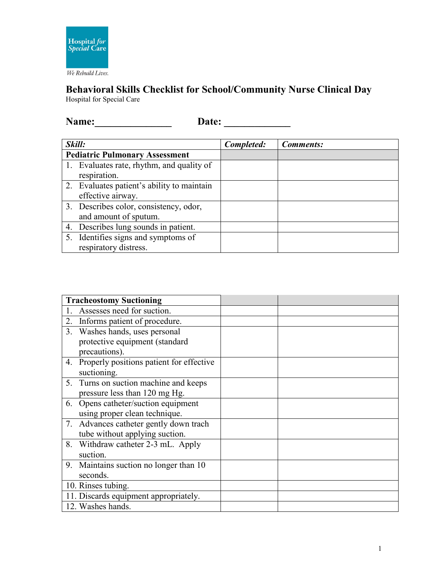

## **Behavioral Skills Checklist for School/Community Nurse Clinical Day** Hospital for Special Care

**Name:\_\_\_\_\_\_\_\_\_\_\_\_\_\_\_ Date: \_\_\_\_\_\_\_\_\_\_\_\_\_**

| Skill:                                |                                            | Completed: | <b>Comments:</b> |
|---------------------------------------|--------------------------------------------|------------|------------------|
| <b>Pediatric Pulmonary Assessment</b> |                                            |            |                  |
|                                       | 1. Evaluates rate, rhythm, and quality of  |            |                  |
|                                       | respiration.                               |            |                  |
|                                       | 2. Evaluates patient's ability to maintain |            |                  |
|                                       | effective airway.                          |            |                  |
|                                       | 3. Describes color, consistency, odor,     |            |                  |
|                                       | and amount of sputum.                      |            |                  |
|                                       | 4. Describes lung sounds in patient.       |            |                  |
|                                       | 5. Identifies signs and symptoms of        |            |                  |
|                                       | respiratory distress.                      |            |                  |

| <b>Tracheostomy Suctioning</b>              |  |
|---------------------------------------------|--|
| Assesses need for suction.                  |  |
| Informs patient of procedure.<br>2.         |  |
| Washes hands, uses personal<br>3.           |  |
| protective equipment (standard              |  |
| precautions).                               |  |
| 4. Properly positions patient for effective |  |
| suctioning.                                 |  |
| 5. Turns on suction machine and keeps       |  |
| pressure less than 120 mg Hg.               |  |
| 6. Opens catheter/suction equipment         |  |
| using proper clean technique.               |  |
| 7. Advances catheter gently down trach      |  |
| tube without applying suction.              |  |
| 8. Withdraw catheter 2-3 mL. Apply          |  |
| suction.                                    |  |
| 9. Maintains suction no longer than 10      |  |
| seconds.                                    |  |
| 10. Rinses tubing.                          |  |
| 11. Discards equipment appropriately.       |  |
| 12. Washes hands.                           |  |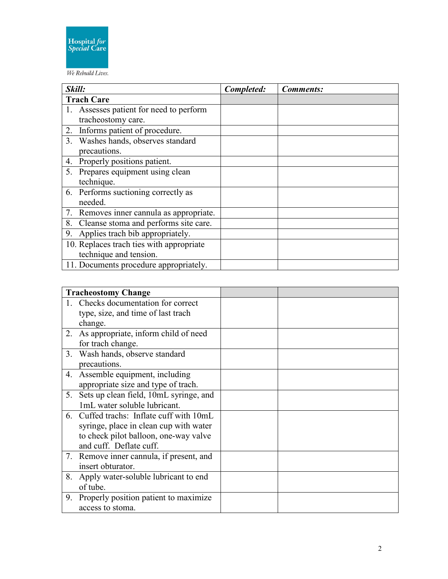

## We Rebuild Lives.

| Skill:                                   | Completed: | <b>Comments:</b> |
|------------------------------------------|------------|------------------|
| <b>Trach Care</b>                        |            |                  |
| Assesses patient for need to perform     |            |                  |
| tracheostomy care.                       |            |                  |
| 2. Informs patient of procedure.         |            |                  |
| 3. Washes hands, observes standard       |            |                  |
| precautions.                             |            |                  |
| 4. Properly positions patient.           |            |                  |
| 5. Prepares equipment using clean        |            |                  |
| technique.                               |            |                  |
| 6. Performs suctioning correctly as      |            |                  |
| needed.                                  |            |                  |
| 7. Removes inner cannula as appropriate. |            |                  |
| 8. Cleanse stoma and performs site care. |            |                  |
| 9. Applies trach bib appropriately.      |            |                  |
| 10. Replaces trach ties with appropriate |            |                  |
| technique and tension.                   |            |                  |
| 11. Documents procedure appropriately.   |            |                  |

|    | <b>Tracheostomy Change</b>                |  |
|----|-------------------------------------------|--|
|    | 1. Checks documentation for correct       |  |
|    | type, size, and time of last trach        |  |
|    | change.                                   |  |
| 2. | As appropriate, inform child of need      |  |
|    | for trach change.                         |  |
|    | 3. Wash hands, observe standard           |  |
|    | precautions.                              |  |
|    | 4. Assemble equipment, including          |  |
|    | appropriate size and type of trach.       |  |
|    | 5. Sets up clean field, 10mL syringe, and |  |
|    | 1mL water soluble lubricant.              |  |
|    | 6. Cuffed trachs: Inflate cuff with 10mL  |  |
|    | syringe, place in clean cup with water    |  |
|    | to check pilot balloon, one-way valve     |  |
|    | and cuff. Deflate cuff.                   |  |
|    | 7. Remove inner cannula, if present, and  |  |
|    | insert obturator.                         |  |
| 8. | Apply water-soluble lubricant to end      |  |
|    | of tube.                                  |  |
| 9. | Properly position patient to maximize     |  |
|    | access to stoma.                          |  |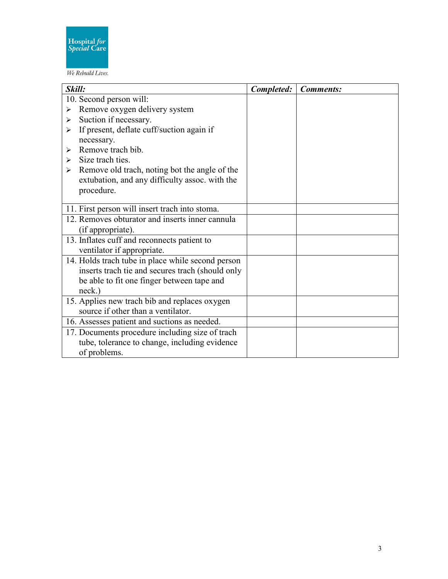

We Rebuild Lives.

| Skill:                                            | Completed: | <b>Comments:</b> |
|---------------------------------------------------|------------|------------------|
| 10. Second person will:                           |            |                  |
| Remove oxygen delivery system<br>➤                |            |                  |
| Suction if necessary.<br>➤                        |            |                  |
| If present, deflate cuff/suction again if<br>➤    |            |                  |
| necessary.                                        |            |                  |
| Remove trach bib.<br>$\blacktriangleright$        |            |                  |
| Size trach ties.<br>➤                             |            |                  |
| Remove old trach, noting bot the angle of the     |            |                  |
| extubation, and any difficulty assoc. with the    |            |                  |
| procedure.                                        |            |                  |
|                                                   |            |                  |
| 11. First person will insert trach into stoma.    |            |                  |
| 12. Removes obturator and inserts inner cannula   |            |                  |
| (if appropriate).                                 |            |                  |
| 13. Inflates cuff and reconnects patient to       |            |                  |
| ventilator if appropriate.                        |            |                  |
| 14. Holds trach tube in place while second person |            |                  |
| inserts trach tie and secures trach (should only  |            |                  |
| be able to fit one finger between tape and        |            |                  |
| neck.)                                            |            |                  |
| 15. Applies new trach bib and replaces oxygen     |            |                  |
| source if other than a ventilator.                |            |                  |
| 16. Assesses patient and suctions as needed.      |            |                  |
| 17. Documents procedure including size of trach   |            |                  |
| tube, tolerance to change, including evidence     |            |                  |
| of problems.                                      |            |                  |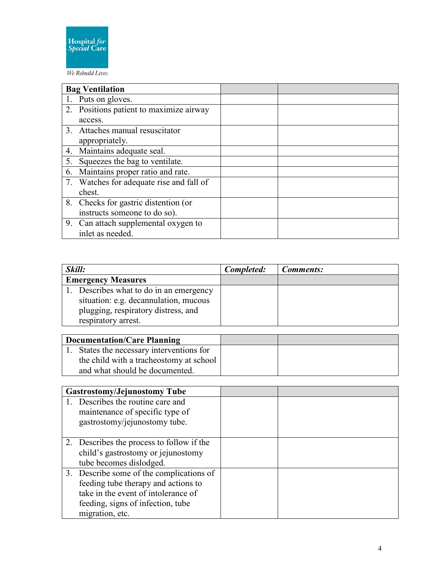

We Rebuild Lives.

|    | <b>Bag Ventilation</b>                   |  |
|----|------------------------------------------|--|
|    | 1. Puts on gloves.                       |  |
|    | 2. Positions patient to maximize airway  |  |
|    | access.                                  |  |
|    | 3. Attaches manual resuscitator          |  |
|    | appropriately.                           |  |
|    | 4. Maintains adequate seal.              |  |
| 5. | Squeezes the bag to ventilate.           |  |
|    | 6. Maintains proper ratio and rate.      |  |
|    | 7. Watches for adequate rise and fall of |  |
|    | chest.                                   |  |
|    | 8. Checks for gastric distention (or     |  |
|    | instructs someone to do so).             |  |
|    | 9. Can attach supplemental oxygen to     |  |
|    | inlet as needed.                         |  |

| Skill:                                  | Completed: | <b>Comments:</b> |
|-----------------------------------------|------------|------------------|
| <b>Emergency Measures</b>               |            |                  |
| 1. Describes what to do in an emergency |            |                  |
| situation: e.g. decannulation, mucous   |            |                  |
| plugging, respiratory distress, and     |            |                  |
| respiratory arrest.                     |            |                  |

| <b>Documentation/Care Planning</b> |                                         |  |
|------------------------------------|-----------------------------------------|--|
|                                    | States the necessary interventions for  |  |
|                                    | the child with a tracheostomy at school |  |
|                                    | and what should be documented.          |  |

| <b>Gastrostomy/Jejunostomy Tube</b>                                                                                                                                            |  |
|--------------------------------------------------------------------------------------------------------------------------------------------------------------------------------|--|
| Describes the routine care and<br>maintenance of specific type of<br>gastrostomy/jejunostomy tube.                                                                             |  |
| 2. Describes the process to follow if the<br>child's gastrostomy or jejunostomy<br>tube becomes dislodged.                                                                     |  |
| 3. Describe some of the complications of<br>feeding tube therapy and actions to<br>take in the event of intolerance of<br>feeding, signs of infection, tube<br>migration, etc. |  |